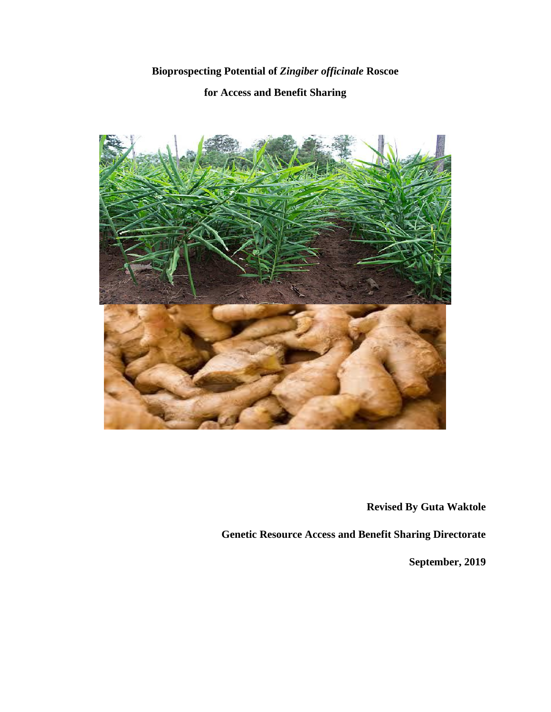# **Bioprospecting Potential of** *Zingiber officinale* **Roscoe**

## **for Access and Benefit Sharing**



**Revised By Guta Waktole** 

**Genetic Resource Access and Benefit Sharing Directorate** 

**September, 2019**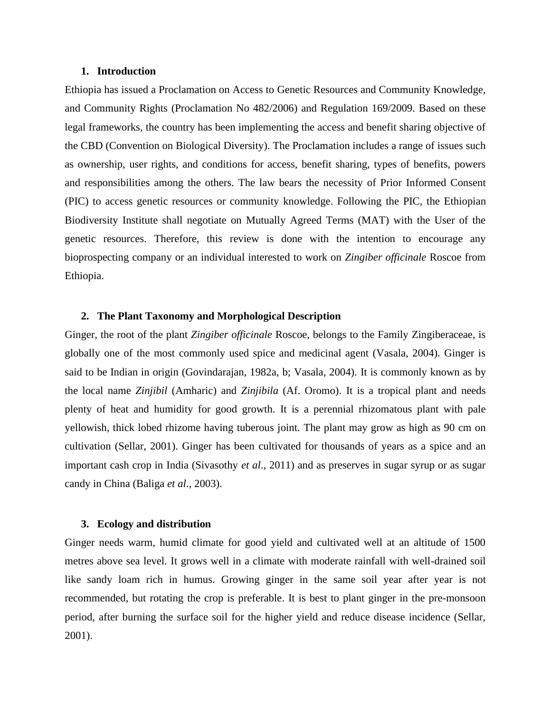## **1. Introduction**

Ethiopia has issued a Proclamation on Access to Genetic Resources and Community Knowledge, and Community Rights (Proclamation No 482/2006) and Regulation 169/2009. Based on these legal frameworks, the country has been implementing the access and benefit sharing objective of the CBD (Convention on Biological Diversity). The Proclamation includes a range of issues such as ownership, user rights, and conditions for access, benefit sharing, types of benefits, powers and responsibilities among the others. The law bears the necessity of Prior Informed Consent (PIC) to access genetic resources or community knowledge. Following the PIC, the Ethiopian Biodiversity Institute shall negotiate on Mutually Agreed Terms (MAT) with the User of the genetic resources. Therefore, this review is done with the intention to encourage any bioprospecting company or an individual interested to work on *Zingiber officinale* Roscoe from Ethiopia.

## **2. The Plant Taxonomy and Morphological Description**

Ginger, the root of the plant *Zingiber officinale* Roscoe, belongs to the Family Zingiberaceae, is globally one of the most commonly used spice and medicinal agent (Vasala, 2004). Ginger is said to be Indian in origin (Govindarajan, 1982a, b; Vasala, 2004). It is commonly known as by the local name *Zinjibil* (Amharic) and *Zinjibila* (Af. Oromo). It is a tropical plant and needs plenty of heat and humidity for good growth. It is a perennial rhizomatous plant with pale yellowish, thick lobed rhizome having tuberous joint. The plant may grow as high as 90 cm on cultivation (Sellar, 2001). Ginger has been cultivated for thousands of years as a spice and an important cash crop in India (Sivasothy *et al*., 2011) and as preserves in sugar syrup or as sugar candy in China (Baliga *et al*., 2003).

#### **3. Ecology and distribution**

Ginger needs warm, humid climate for good yield and cultivated well at an altitude of 1500 metres above sea level. It grows well in a climate with moderate rainfall with well-drained soil like sandy loam rich in humus. Growing ginger in the same soil year after year is not recommended, but rotating the crop is preferable. It is best to plant ginger in the pre-monsoon period, after burning the surface soil for the higher yield and reduce disease incidence (Sellar, 2001).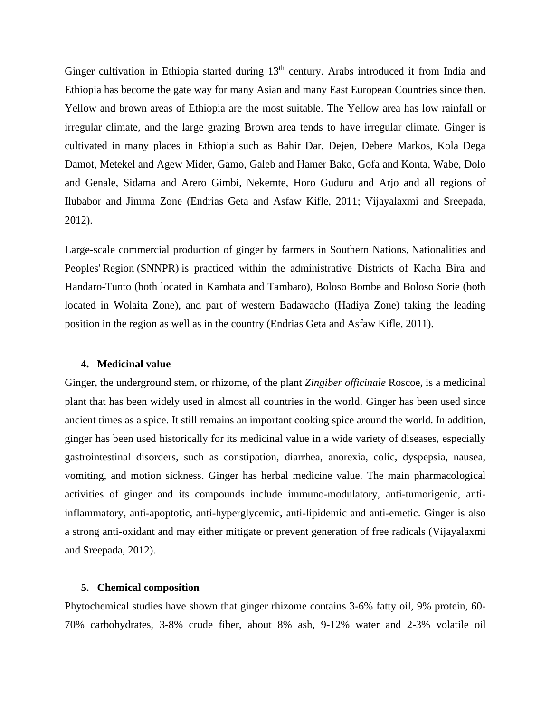Ginger cultivation in Ethiopia started during 13<sup>th</sup> century. Arabs introduced it from India and Ethiopia has become the gate way for many Asian and many East European Countries since then. Yellow and brown areas of Ethiopia are the most suitable. The Yellow area has low rainfall or irregular climate, and the large grazing Brown area tends to have irregular climate. Ginger is cultivated in many places in Ethiopia such as Bahir Dar, Dejen, Debere Markos, Kola Dega Damot, Metekel and Agew Mider, Gamo, Galeb and Hamer Bako, Gofa and Konta, Wabe, Dolo and Genale, Sidama and Arero Gimbi, Nekemte, Horo Guduru and Arjo and all regions of Ilubabor and Jimma Zone (Endrias Geta and Asfaw Kifle, 2011; Vijayalaxmi and Sreepada, 2012).

Large-scale commercial production of ginger by farmers in Southern Nations, Nationalities and Peoples' Region (SNNPR) is practiced within the administrative Districts of Kacha Bira and Handaro-Tunto (both located in Kambata and Tambaro), Boloso Bombe and Boloso Sorie (both located in Wolaita Zone), and part of western Badawacho (Hadiya Zone) taking the leading position in the region as well as in the country (Endrias Geta and Asfaw Kifle, 2011).

#### **4. Medicinal value**

Ginger, the underground stem, or rhizome, of the plant *Zingiber officinale* Roscoe, is a medicinal plant that has been widely used in almost all countries in the world. Ginger has been used since ancient times as a spice. It still remains an important cooking spice around the world. In addition, ginger has been used historically for its medicinal value in a wide variety of diseases, especially gastrointestinal disorders, such as constipation, diarrhea, anorexia, colic, dyspepsia, nausea, vomiting, and motion sickness. Ginger has herbal medicine value. The main pharmacological activities of ginger and its compounds include immuno-modulatory, anti-tumorigenic, antiinflammatory, anti-apoptotic, anti-hyperglycemic, anti-lipidemic and anti-emetic. Ginger is also a strong anti-oxidant and may either mitigate or prevent generation of free radicals (Vijayalaxmi and Sreepada, 2012).

#### **5. Chemical composition**

Phytochemical studies have shown that ginger rhizome contains 3-6% fatty oil, 9% protein, 60- 70% carbohydrates, 3-8% crude fiber, about 8% ash, 9-12% water and 2-3% volatile oil